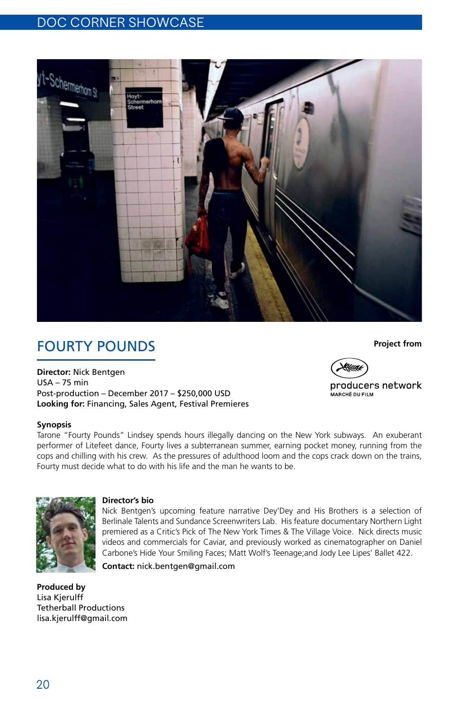### DOC CORNER SHOWCASE



# **FOURTY POUNDS**

**Director:** Nick Bentgen USA – 75 min Post-production – December 2017 – \$250,000 USD **Looking for:** Financing, Sales Agent, Festival Premieres

### **Synopsis**

Tarone "Fourty Pounds" Lindsey spends hours illegally dancing on the New York subways. An exuberant performer of Litefeet dance, Fourty lives a subterranean summer, earning pocket money, running from the cops and chilling with his crew. As the pressures of adulthood loom and the cops crack down on the trains, Fourty must decide what to do with his life and the man he wants to be.



#### **Director's bio**

Nick Bentgen's upcoming feature narrative Dey'Dey and His Brothers is a selection of Berlinale Talents and Sundance Screenwriters Lab. His feature documentary Northern Light premiered as a Critic's Pick of The New York Times & The Village Voice. Nick directs music videos and commercials for Caviar, and previously worked as cinematographer on Daniel Carbone's Hide Your Smiling Faces; Matt Wolf's Teenage;and Jody Lee Lipes' Ballet 422.

**Contact:** nick.bentgen@gmail.com

**Produced by** Lisa Kjerulff Tetherball Productions lisa.kjerulff@gmail.com **Project from**



producers network .<br>MARCHÉ DU FILM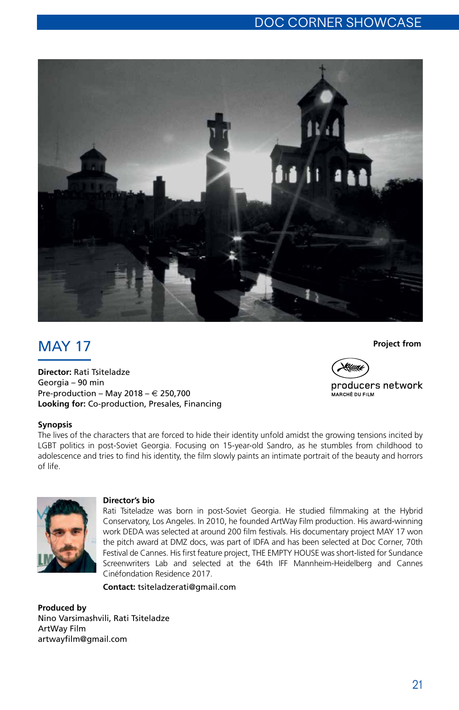

# **MAY 17**

**Director:** Rati Tsiteladze Georgia – 90 min Pre-production – May 2018 –  $\in$  250,700 **Looking for:** Co-production, Presales, Financing

### **Synopsis**

The lives of the characters that are forced to hide their identity unfold amidst the growing tensions incited by LGBT politics in post-Soviet Georgia. Focusing on 15-year-old Sandro, as he stumbles from childhood to adolescence and tries to find his identity, the film slowly paints an intimate portrait of the beauty and horrors of life.



#### **Director's bio**

Rati Tsiteladze was born in post-Soviet Georgia. He studied filmmaking at the Hybrid Conservatory, Los Angeles. In 2010, he founded ArtWay Film production. His award-winning work DEDA was selected at around 200 film festivals. His documentary project MAY 17 won the pitch award at DMZ docs, was part of IDFA and has been selected at Doc Corner, 70th Festival de Cannes. His first feature project, THE EMPTY HOUSE was short-listed for Sundance Screenwriters Lab and selected at the 64th IFF Mannheim-Heidelberg and Cannes Cinéfondation Residence 2017.

**Contact:** tsiteladzerati@gmail.com

**Produced by** Nino Varsimashvili, Rati Tsiteladze ArtWay Film artwayfilm@gmail.com

#### **Project from**



producers network .<br>MARCHÉ DU FILM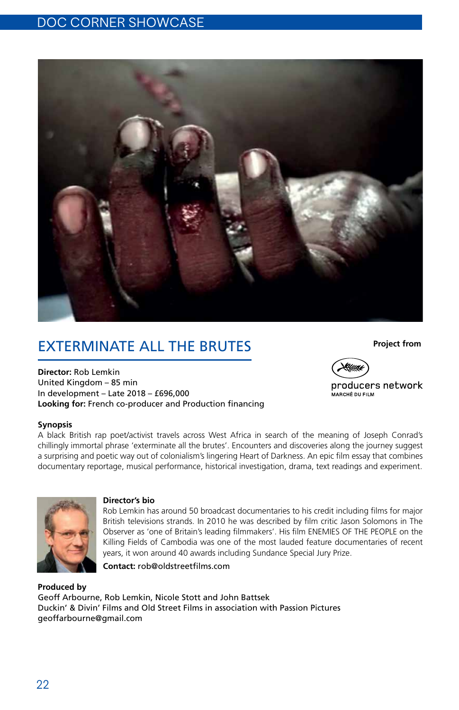

# Exterminate All The Brutes

**Director:** Rob Lemkin United Kingdom – 85 min In development – Late 2018 – £696,000 **Looking for:** French co-producer and Production financing

#### **Synopsis**

A black British rap poet/activist travels across West Africa in search of the meaning of Joseph Conrad's chillingly immortal phrase 'exterminate all the brutes'. Encounters and discoveries along the journey suggest a surprising and poetic way out of colonialism's lingering Heart of Darkness. An epic film essay that combines documentary reportage, musical performance, historical investigation, drama, text readings and experiment.



#### **Director's bio**

Rob Lemkin has around 50 broadcast documentaries to his credit including films for major British televisions strands. In 2010 he was described by film critic Jason Solomons in The Observer as 'one of Britain's leading filmmakers'. His film ENEMIES OF THE PEOPLE on the Killing Fields of Cambodia was one of the most lauded feature documentaries of recent years, it won around 40 awards including Sundance Special Jury Prize.

**Contact:** rob@oldstreetfilms.com

**Produced by** Geoff Arbourne, Rob Lemkin, Nicole Stott and John Battsek Duckin' & Divin' Films and Old Street Films in association with Passion Pictures geoffarbourne@gmail.com

#### **Project from**



producers network I<br>MARCHÉ DIJ FII M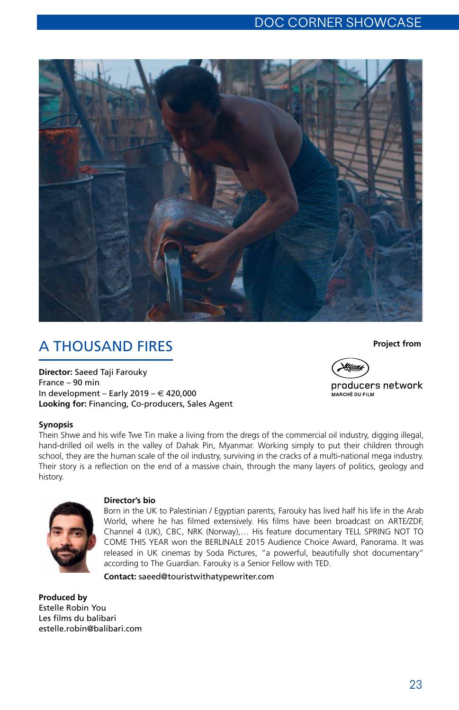

# A Thousand Fires

**Director:** Saeed Taji Farouky France – 90 min In development – Early 2019 –  $\in$  420,000 **Looking for:** Financing, Co-producers, Sales Agent

#### **Synopsis**

Thein Shwe and his wife Twe Tin make a living from the dregs of the commercial oil industry, digging illegal, hand-drilled oil wells in the valley of Dahak Pin, Myanmar. Working simply to put their children through school, they are the human scale of the oil industry, surviving in the cracks of a multi-national mega industry. Their story is a reflection on the end of a massive chain, through the many layers of politics, geology and history.



#### **Director's bio**

Born in the UK to Palestinian / Egyptian parents, Farouky has lived half his life in the Arab World, where he has filmed extensively. His films have been broadcast on ARTE/ZDF, Channel 4 (UK), CBC, NRK (Norway),… His feature documentary TELL SPRING NOT TO COME THIS YEAR won the BERLINALE 2015 Audience Choice Award, Panorama. It was released in UK cinemas by Soda Pictures, "a powerful, beautifully shot documentary" according to The Guardian. Farouky is a Senior Fellow with TED.

**Contact:** saeed@touristwithatypewriter.com

**Produced by** Estelle Robin You Les films du balibari estelle.robin@balibari.com **Project from**



producers network I<br>MARCHÉ DIJ FII M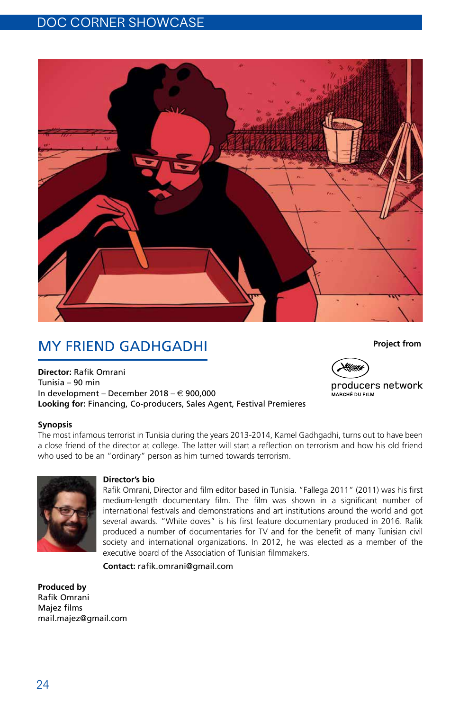

# My Friend Gadhgadhi

**Director:** Rafik Omrani Tunisia – 90 min In development – December 2018 – € 900,000 **Looking for:** Financing, Co-producers, Sales Agent, Festival Premieres

## **Synopsis**

The most infamous terrorist in Tunisia during the years 2013-2014, Kamel Gadhgadhi, turns out to have been a close friend of the director at college. The latter will start a reflection on terrorism and how his old friend who used to be an "ordinary" person as him turned towards terrorism.



#### **Director's bio**

Rafik Omrani, Director and film editor based in Tunisia. "Fallega 2011" (2011) was his first medium-length documentary film. The film was shown in a significant number of international festivals and demonstrations and art institutions around the world and got several awards. "White doves" is his first feature documentary produced in 2016. Rafik produced a number of documentaries for TV and for the benefit of many Tunisian civil society and international organizations. In 2012, he was elected as a member of the executive board of the Association of Tunisian filmmakers.

**Contact:** rafik.omrani@gmail.com

**Produced by** Rafik Omrani Majez films mail.majez@gmail.com

24

#### **Project from**



producers network I<br>MARCHÉ DIJ FII M